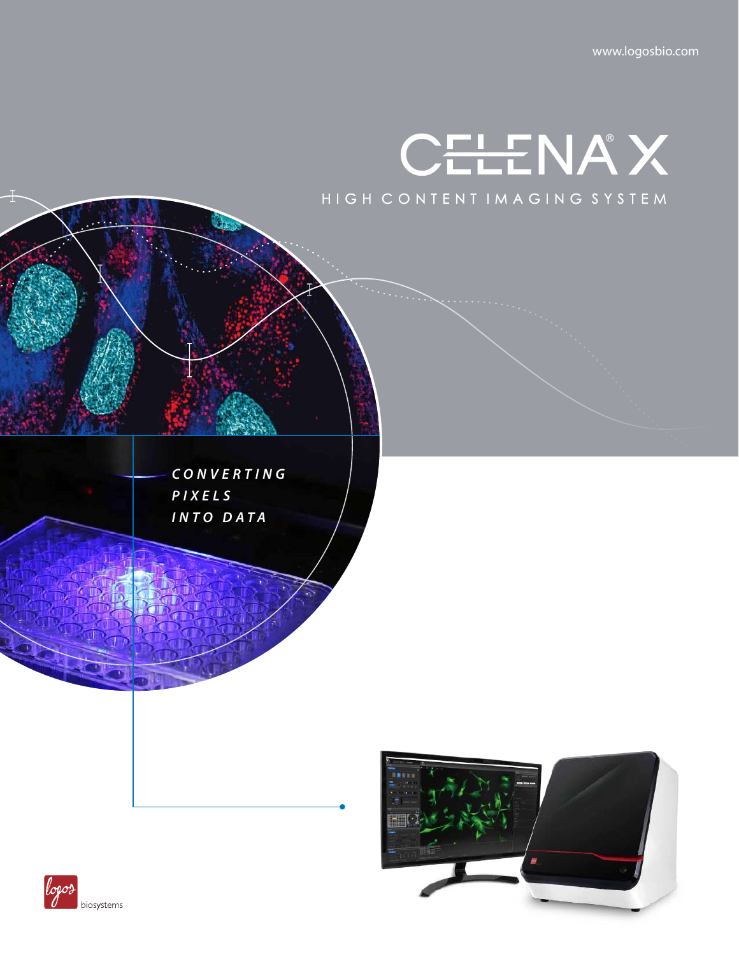

*CONVERTING PIXELS INTO DATA*



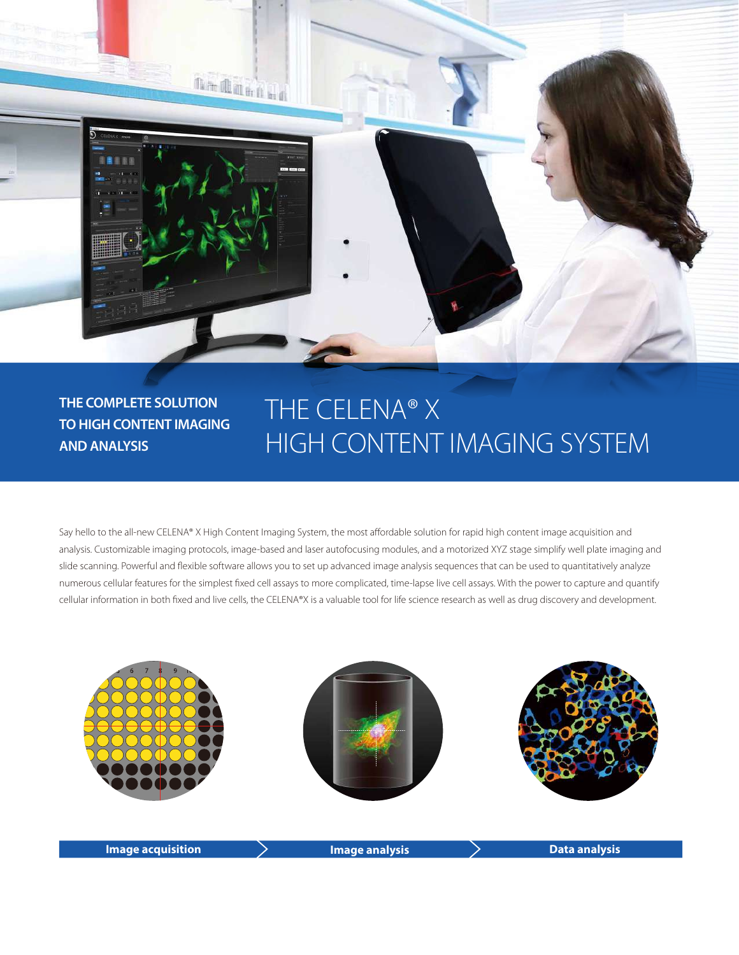

## **THE COMPLETE SOLUTION TO HIGH CONTENT IMAGING AND ANALYSIS**

# THE CELENA® X HIGH CONTENT IMAGING SYSTEM

Say hello to the all-new CELENA® X High Content Imaging System, the most affordable solution for rapid high content image acquisition and analysis. Customizable imaging protocols, image-based and laser autofocusing modules, and a motorized XYZ stage simplify well plate imaging and slide scanning. Powerful and flexible software allows you to set up advanced image analysis sequences that can be used to quantitatively analyze numerous cellular features for the simplest fixed cell assays to more complicated, time-lapse live cell assays. With the power to capture and quantify cellular information in both fixed and live cells, the CELENA®X is a valuable tool for life science research as well as drug discovery and development.

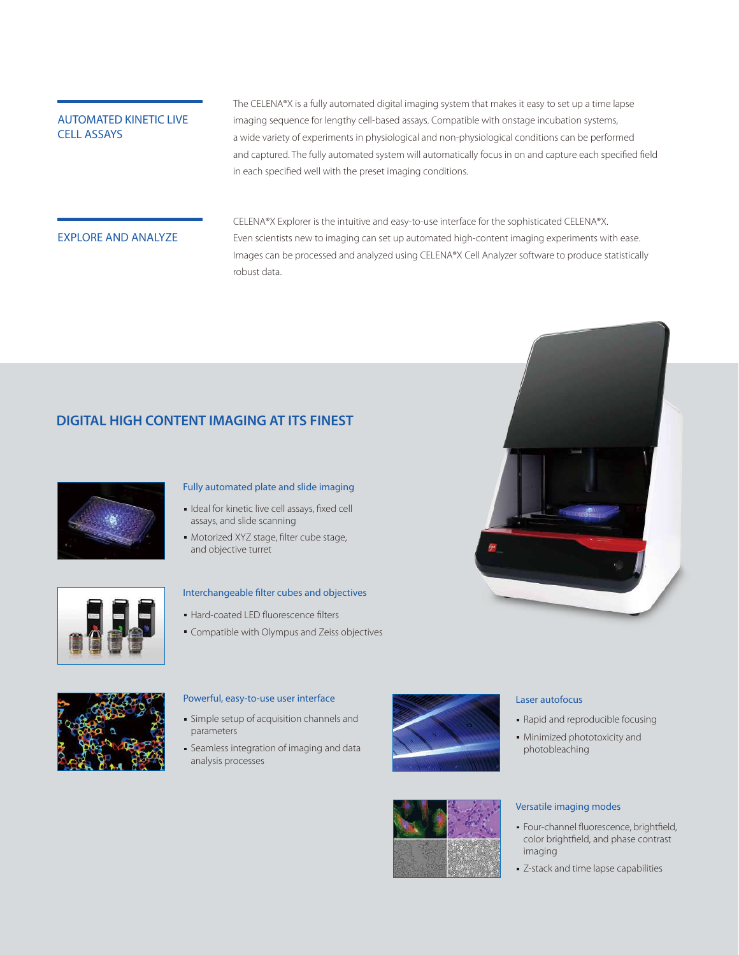#### AUTOMATED KINETIC LIVE CELL ASSAYS

The CELENA®X is a fully automated digital imaging system that makes it easy to set up a time lapse imaging sequence for lengthy cell-based assays. Compatible with onstage incubation systems, a wide variety of experiments in physiological and non-physiological conditions can be performed and captured. The fully automated system will automatically focus in on and capture each specified field in each specified well with the preset imaging conditions.

#### EXPLORE AND ANALYZE

CELENA®X Explorer is the intuitive and easy-to-use interface for the sophisticated CELENA®X. Even scientists new to imaging can set up automated high-content imaging experiments with ease. Images can be processed and analyzed using CELENA®X Cell Analyzer software to produce statistically robust data.

#### **DIGITAL HIGH CONTENT IMAGING AT ITS FINEST**



#### Fully automated plate and slide imaging

- Ideal for kinetic live cell assays, fixed cell assays, and slide scanning
- Motorized XYZ stage, filter cube stage, and objective turret



#### Interchangeable filter cubes and objectives

- **Hard-coated LED fluorescence filters**
- Compatible with Olympus and Zeiss objectives



#### Powerful, easy-to-use user interface

- Simple setup of acquisition channels and parameters
- Seamless integration of imaging and data analysis processes



#### Laser autofocus

- Rapid and reproducible focusing
- Minimized phototoxicity and photobleaching

#### Versatile imaging modes

- Four-channel fluorescence, brightfield, color brightfield, and phase contrast imaging
- **Z-stack and time lapse capabilities**

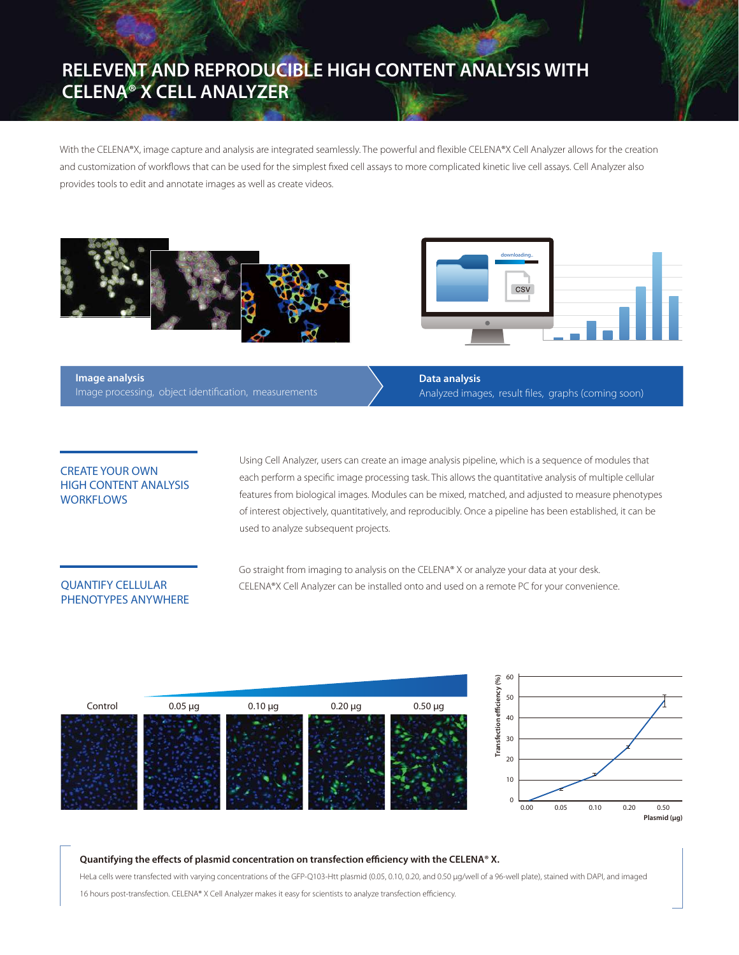# **RELEVENT AND REPRODUCIBLE HIGH CONTENT ANALYSIS WITH CELENA® X CELL ANALYZER**

With the CELENA®X, image capture and analysis are integrated seamlessly. The powerful and flexible CELENA®X Cell Analyzer allows for the creation and customization of workflows that can be used for the simplest fixed cell assays to more complicated kinetic live cell assays. Cell Analyzer also provides tools to edit and annotate images as well as create videos.





**Image analysis** Image processing, object identification, measurements **Data analysis** Analyzed images, result files, graphs (coming soon)

#### CREATE YOUR OWN HIGH CONTENT ANALYSIS **WORKFLOWS**

Using Cell Analyzer, users can create an image analysis pipeline, which is a sequence of modules that each perform a specific image processing task. This allows the quantitative analysis of multiple cellular features from biological images. Modules can be mixed, matched, and adjusted to measure phenotypes of interest objectively, quantitatively, and reproducibly. Once a pipeline has been established, it can be used to analyze subsequent projects.

#### QUANTIFY CELLULAR PHENOTYPES ANYWHERE

Go straight from imaging to analysis on the CELENA® X or analyze your data at your desk. CELENA®X Cell Analyzer can be installed onto and used on a remote PC for your convenience.



#### Quantifying the effects of plasmid concentration on transfection efficiency with the CELENA® X.

HeLa cells were transfected with varying concentrations of the GFP-Q103-Htt plasmid (0.05, 0.10, 0.20, and 0.50 μg/well of a 96-well plate), stained with DAPI, and imaged 16 hours post-transfection. CELENA® X Cell Analyzer makes it easy for scientists to analyze transfection efficiency.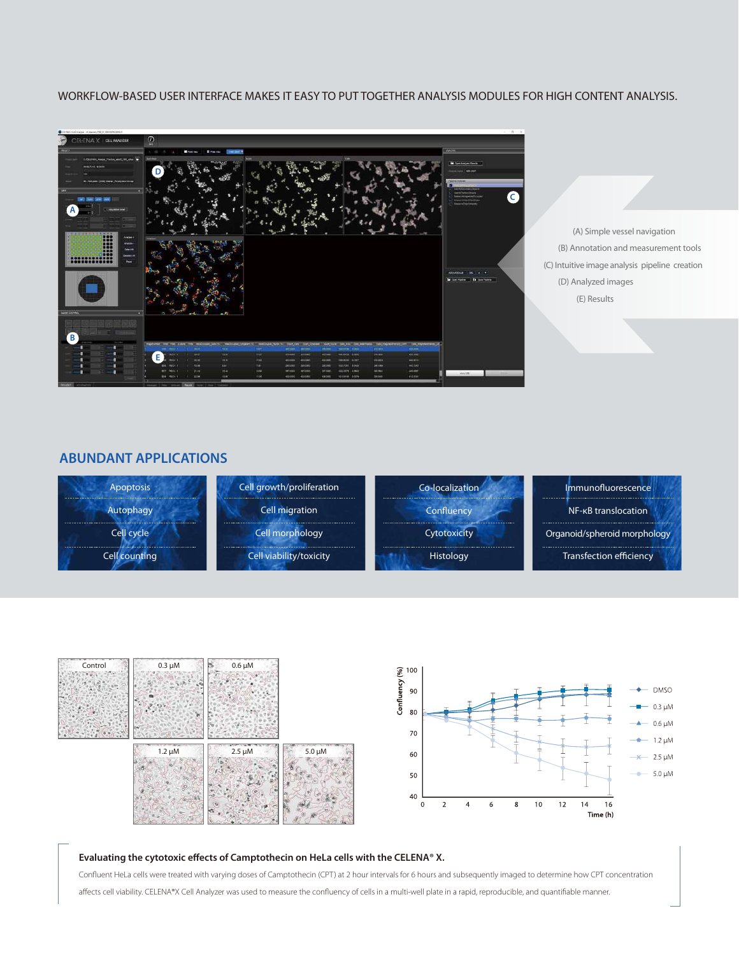#### WORKFLOW-BASED USER INTERFACE MAKES IT EASY TO PUT TOGETHER ANALYSIS MODULES FOR HIGH CONTENT ANALYSIS.



 (A) Simple vessel navigation (B) Annotation and measurement tools (C) Intuitive image analysis pipeline creation (D) Analyzed images (E) Results

#### **ABUNDANT APPLICATIONS**





#### Evaluating the cytotoxic effects of Camptothecin on HeLa cells with the CELENA<sup>®</sup> X.

Confluent HeLa cells were treated with varying doses of Camptothecin (CPT) at 2 hour intervals for 6 hours and subsequently imaged to determine how CPT concentration affects cell viability. CELENA®X Cell Analyzer was used to measure the confluency of cells in a multi-well plate in a rapid, reproducible, and quantifiable manner.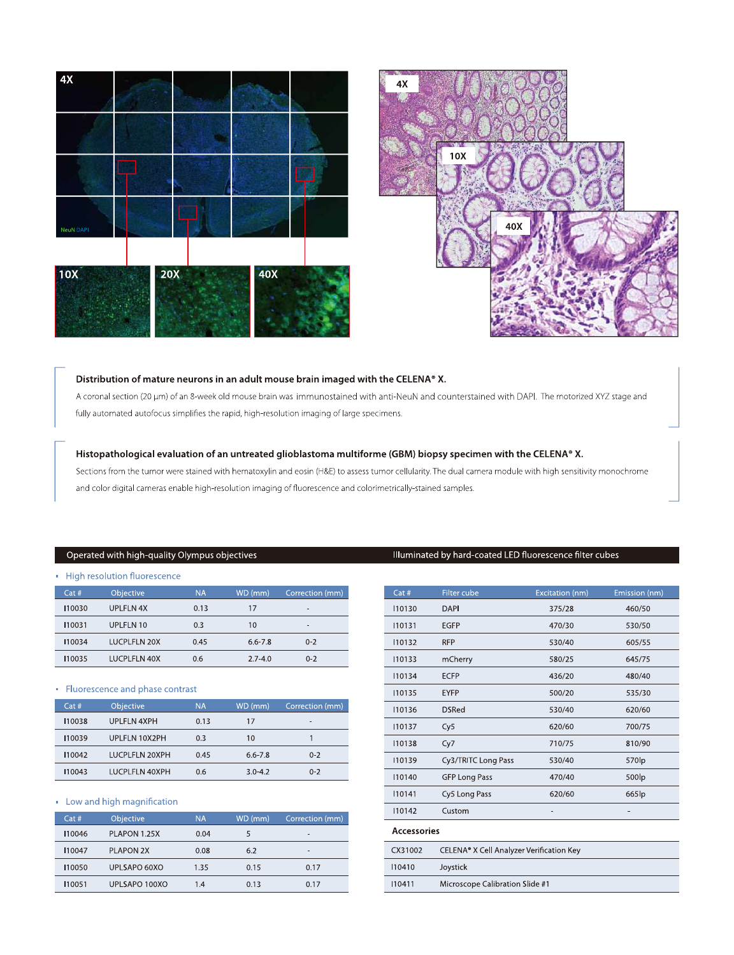



#### Distribution of mature neurons in an adult mouse brain imaged with the CELENA® X.

A coronal section (20 µm) of an 8-week old mouse brain was immunostained with anti-NeuN and counterstained with DAPI. The motorized XYZ stage and fully automated autofocus simplifies the rapid, high-resolution imaging of large specimens.

#### Histopathological evaluation of an untreated glioblastoma multiforme (GBM) biopsy specimen with the CELENA® X.

Sections from the tumor were stained with hematoxylin and eosin (H&E) to assess tumor cellularity. The dual camera module with high sensitivity monochrome and color digital cameras enable high-resolution imaging of fluorescence and colorimetrically-stained samples.

#### Operated with high-quality Olympus objectives

|        | • High resolution fluorescence |      |             |                 |
|--------|--------------------------------|------|-------------|-----------------|
| Cat#   | <b>Objective</b>               | NA.  | WD (mm)     | Correction (mm) |
| 110030 | UPLELN 4X                      | 0.13 | 17          | -               |
| 110031 | UPLFLN 10                      | 0.3  | 10          |                 |
| 110034 | <b>LUCPLFLN 20X</b>            | 0.45 | $6.6 - 7.8$ | $0 - 2$         |
| 110035 | LUCPLELN 40X                   | 0.6  | $2.7 - 4.0$ | $0 - 2$         |

#### • Fluorescence and phase contrast

| Cat#   | <b>Objective</b>      | <b>NA</b> | WD (mm)     | Correction (mm) |
|--------|-----------------------|-----------|-------------|-----------------|
| 110038 | <b>UPLFLN 4XPH</b>    | 0.13      | 17          | $\,$            |
| 110039 | UPLELN 10X2PH         | 0.3       | 10          |                 |
| 110042 | LUCPLELN 20XPH        | 0.45      | 6.6-7.8     | $0 - 2$         |
| 110043 | <b>IUCPLELN 40XPH</b> | 0.6       | $3.0 - 4.2$ | $0 - 2$         |

#### - Low and high magnification

| Cat#   | Objective        | <b>NA</b> | WD (mm) | Correction (mm) |
|--------|------------------|-----------|---------|-----------------|
| 110046 | PLAPON 1.25X     | 0.04      | 5       | -               |
| 110047 | <b>PLAPON 2X</b> | 0.08      | 6.2     | -               |
| 110050 | UPLSAPO 60XO     | 1.35      | 0.15    | 0.17            |
| 110051 | UPLSAPO 100XO    | 1.4       | 0.13    | 0.17            |

#### Illuminated by hard-coated LED fluorescence filter cubes

| Cat #              | Filter cube                              | Excitation (nm) | Emission (nm)     |  |
|--------------------|------------------------------------------|-----------------|-------------------|--|
| 10130              | <b>DAPI</b>                              | 375/28          | 460/50            |  |
| 110131             | <b>EGFP</b>                              | 470/30          | 530/50            |  |
| 110132             | <b>RFP</b>                               | 530/40          | 605/55            |  |
| 10133              | mCherry                                  | 580/25          | 645/75            |  |
| 110134             | <b>ECFP</b>                              | 436/20          | 480/40            |  |
| 110135             | <b>EYFP</b>                              | 500/20          | 535/30            |  |
| 10136              | <b>DSRed</b>                             | 530/40          | 620/60            |  |
| 110137             | Cy5                                      | 620/60          | 700/75            |  |
| 110138             | Cy7                                      | 710/75          | 810/90            |  |
| 10139              | Cy3/TRITC Long Pass                      | 530/40          | 570 <sub>lp</sub> |  |
| 110140             | <b>GFP Long Pass</b>                     | 470/40          | 500lp             |  |
| 110141             | Cy5 Long Pass                            | 620/60          | 665lp             |  |
| 10142              | Custom                                   | ٠               |                   |  |
| <b>Accessories</b> |                                          |                 |                   |  |
| CX31002            | CELENA® X Cell Analyzer Verification Key |                 |                   |  |
| 110410             | Joystick                                 |                 |                   |  |
| 110411             | Microscope Calibration Slide #1          |                 |                   |  |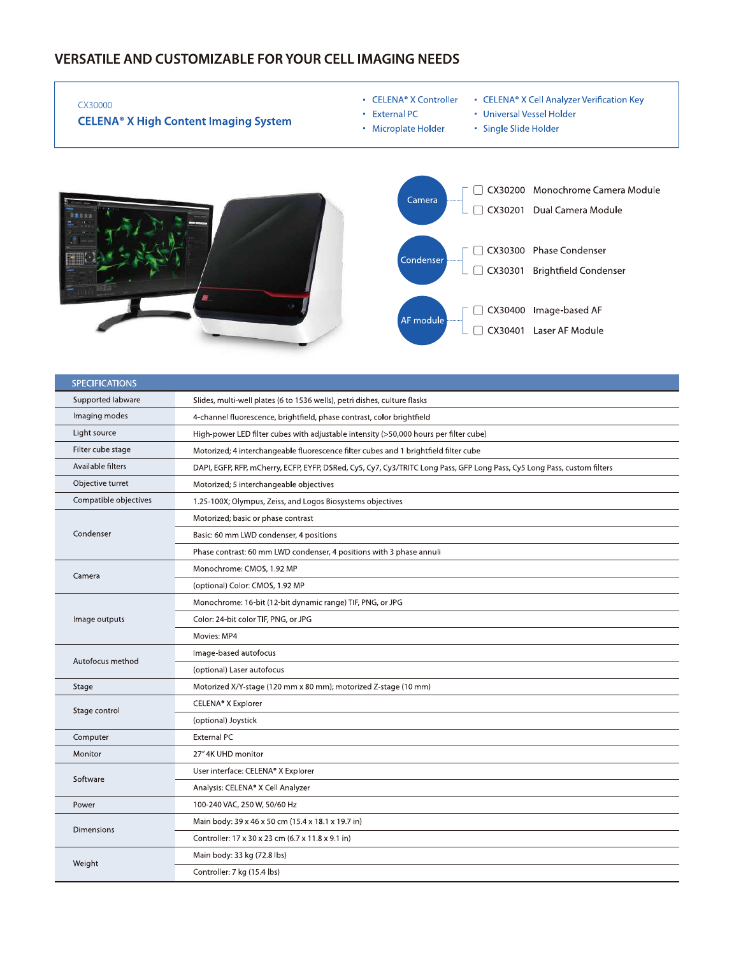#### **VERSATILE AND CUSTOMIZABLE FOR YOUR CELL IMAGING NEEDS**

 $\overline{\Gamma}$ 

| CX30000<br><b>CELENA<sup>®</sup> X High Content Imaging System</b> | • CELENA <sup>®</sup> X Controller<br>• CELENA <sup>®</sup> X Cell Analyzer Verification Key<br>• Universal Vessel Holder<br>• External PC<br>• Microplate Holder<br>• Single Slide Holder                                             |
|--------------------------------------------------------------------|----------------------------------------------------------------------------------------------------------------------------------------------------------------------------------------------------------------------------------------|
|                                                                    | CX30200 Monochrome Camera Module<br>Camera<br>Dual Camera Module<br>CX30201<br>CX30300 Phase Condenser<br>Condenser<br><b>Brightfield Condenser</b><br>CX30301<br>Image-based AF<br>CX30400<br>AF module<br>CX30401<br>Laser AF Module |

| <b>SPECIFICATIONS</b> |                                                                                                                          |  |  |
|-----------------------|--------------------------------------------------------------------------------------------------------------------------|--|--|
| Supported labware     | Slides, multi-well plates (6 to 1536 wells), petri dishes, culture flasks                                                |  |  |
| Imaging modes         | 4-channel fluorescence, brightfield, phase contrast, color brightfield                                                   |  |  |
| Light source          | High-power LED filter cubes with adjustable intensity (>50,000 hours per filter cube)                                    |  |  |
| Filter cube stage     | Motorized; 4 interchangeable fluorescence filter cubes and 1 brightfield filter cube                                     |  |  |
| Available filters     | DAPI, EGFP, RFP, mCherry, ECFP, EYFP, DSRed, Cy5, Cy7, Cy3/TRITC Long Pass, GFP Long Pass, Cy5 Long Pass, custom filters |  |  |
| Objective turret      | Motorized; 5 interchangeable objectives                                                                                  |  |  |
| Compatible objectives | 1.25-100X; Olympus, Zeiss, and Logos Biosystems objectives                                                               |  |  |
|                       | Motorized; basic or phase contrast                                                                                       |  |  |
| Condenser             | Basic: 60 mm LWD condenser, 4 positions                                                                                  |  |  |
|                       | Phase contrast: 60 mm LWD condenser, 4 positions with 3 phase annuli                                                     |  |  |
| Camera                | Monochrome: CMOS, 1.92 MP                                                                                                |  |  |
|                       | (optional) Color: CMOS, 1.92 MP                                                                                          |  |  |
|                       | Monochrome: 16-bit (12-bit dynamic range) TIF, PNG, or JPG                                                               |  |  |
| Image outputs         | Color: 24-bit color TIF, PNG, or JPG                                                                                     |  |  |
|                       | Movies: MP4                                                                                                              |  |  |
| Autofocus method      | Image-based autofocus                                                                                                    |  |  |
|                       | (optional) Laser autofocus                                                                                               |  |  |
| Stage                 | Motorized X/Y-stage (120 mm x 80 mm); motorized Z-stage (10 mm)                                                          |  |  |
| Stage control         | CELENA® X Explorer                                                                                                       |  |  |
|                       | (optional) Joystick                                                                                                      |  |  |
| Computer              | External PC                                                                                                              |  |  |
| Monitor               | 27" 4K UHD monitor                                                                                                       |  |  |
| Software              | User interface: CELENA® X Explorer                                                                                       |  |  |
|                       | Analysis: CELENA® X Cell Analyzer                                                                                        |  |  |
| Power                 | 100-240 VAC, 250 W, 50/60 Hz                                                                                             |  |  |
| Dimensions            | Main body: 39 x 46 x 50 cm (15.4 x 18.1 x 19.7 in)                                                                       |  |  |
|                       | Controller: 17 x 30 x 23 cm (6.7 x 11.8 x 9.1 in)                                                                        |  |  |
| Weight                | Main body: 33 kg (72.8 lbs)                                                                                              |  |  |
|                       | Controller: 7 kg (15.4 lbs)                                                                                              |  |  |